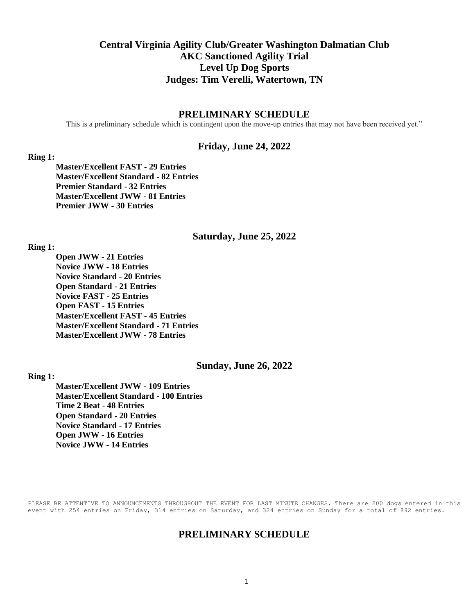#### **Central Virginia Agility Club/Greater Washington Dalmatian Club AKC Sanctioned Agility Trial Level Up Dog Sports Judges: Tim Verelli, Watertown, TN**

#### **PRELIMINARY SCHEDULE**

This is a preliminary schedule which is contingent upon the move-up entries that may not have been received yet."

#### **Friday, June 24, 2022**

#### **Ring 1:**

**Master/Excellent FAST - 29 Entries Master/Excellent Standard - 82 Entries Premier Standard - 32 Entries Master/Excellent JWW - 81 Entries Premier JWW - 30 Entries**

#### **Saturday, June 25, 2022**

#### **Ring 1:**

**Open JWW - 21 Entries Novice JWW - 18 Entries Novice Standard - 20 Entries Open Standard - 21 Entries Novice FAST - 25 Entries Open FAST - 15 Entries Master/Excellent FAST - 45 Entries Master/Excellent Standard - 71 Entries Master/Excellent JWW - 78 Entries**

**Ring 1:**

#### **Sunday, June 26, 2022**

**Master/Excellent JWW - 109 Entries Master/Excellent Standard - 100 Entries Time 2 Beat - 48 Entries Open Standard - 20 Entries Novice Standard - 17 Entries Open JWW - 16 Entries Novice JWW - 14 Entries**

PLEASE BE ATTENTIVE TO ANNOUNCEMENTS THROUGHOUT THE EVENT FOR LAST MINUTE CHANGES. There are 200 dogs entered in this event with 254 entries on Friday, 314 entries on Saturday, and 324 entries on Sunday for a total of 892 entries.

#### **PRELIMINARY SCHEDULE**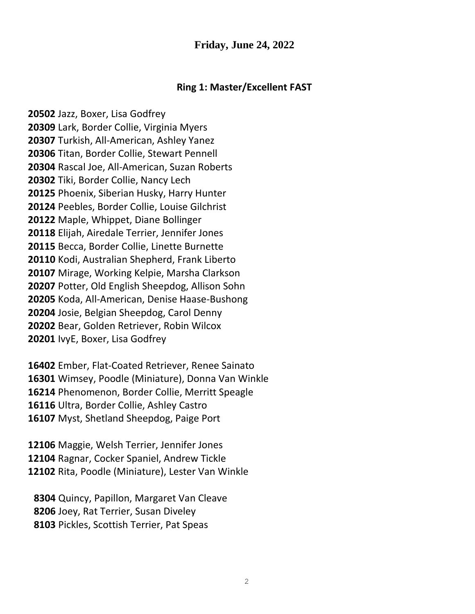### **Ring 1: Master/Excellent FAST**

 Jazz, Boxer, Lisa Godfrey Lark, Border Collie, Virginia Myers Turkish, All-American, Ashley Yanez Titan, Border Collie, Stewart Pennell Rascal Joe, All-American, Suzan Roberts Tiki, Border Collie, Nancy Lech Phoenix, Siberian Husky, Harry Hunter Peebles, Border Collie, Louise Gilchrist Maple, Whippet, Diane Bollinger Elijah, Airedale Terrier, Jennifer Jones Becca, Border Collie, Linette Burnette Kodi, Australian Shepherd, Frank Liberto Mirage, Working Kelpie, Marsha Clarkson Potter, Old English Sheepdog, Allison Sohn Koda, All-American, Denise Haase-Bushong Josie, Belgian Sheepdog, Carol Denny Bear, Golden Retriever, Robin Wilcox IvyE, Boxer, Lisa Godfrey

 Ember, Flat-Coated Retriever, Renee Sainato Wimsey, Poodle (Miniature), Donna Van Winkle Phenomenon, Border Collie, Merritt Speagle Ultra, Border Collie, Ashley Castro Myst, Shetland Sheepdog, Paige Port

 Maggie, Welsh Terrier, Jennifer Jones Ragnar, Cocker Spaniel, Andrew Tickle Rita, Poodle (Miniature), Lester Van Winkle

 Quincy, Papillon, Margaret Van Cleave Joey, Rat Terrier, Susan Diveley Pickles, Scottish Terrier, Pat Speas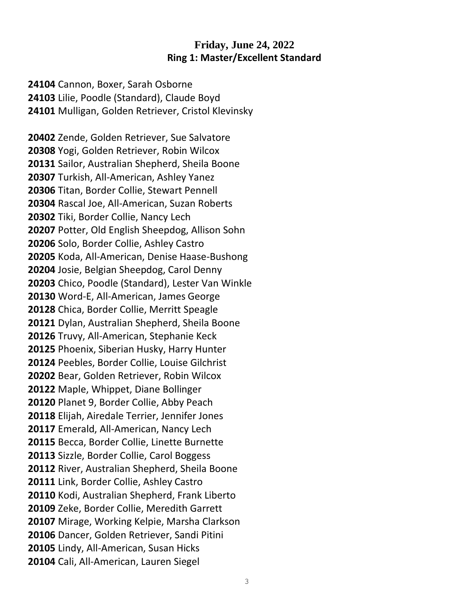#### **Friday, June 24, 2022 Ring 1: Master/Excellent Standard**

 Cannon, Boxer, Sarah Osborne Lilie, Poodle (Standard), Claude Boyd Mulligan, Golden Retriever, Cristol Klevinsky

 Zende, Golden Retriever, Sue Salvatore Yogi, Golden Retriever, Robin Wilcox Sailor, Australian Shepherd, Sheila Boone Turkish, All-American, Ashley Yanez Titan, Border Collie, Stewart Pennell Rascal Joe, All-American, Suzan Roberts Tiki, Border Collie, Nancy Lech Potter, Old English Sheepdog, Allison Sohn Solo, Border Collie, Ashley Castro Koda, All-American, Denise Haase-Bushong Josie, Belgian Sheepdog, Carol Denny Chico, Poodle (Standard), Lester Van Winkle Word-E, All-American, James George Chica, Border Collie, Merritt Speagle Dylan, Australian Shepherd, Sheila Boone Truvy, All-American, Stephanie Keck Phoenix, Siberian Husky, Harry Hunter Peebles, Border Collie, Louise Gilchrist Bear, Golden Retriever, Robin Wilcox Maple, Whippet, Diane Bollinger Planet 9, Border Collie, Abby Peach Elijah, Airedale Terrier, Jennifer Jones Emerald, All-American, Nancy Lech Becca, Border Collie, Linette Burnette Sizzle, Border Collie, Carol Boggess River, Australian Shepherd, Sheila Boone Link, Border Collie, Ashley Castro Kodi, Australian Shepherd, Frank Liberto Zeke, Border Collie, Meredith Garrett Mirage, Working Kelpie, Marsha Clarkson Dancer, Golden Retriever, Sandi Pitini Lindy, All-American, Susan Hicks Cali, All-American, Lauren Siegel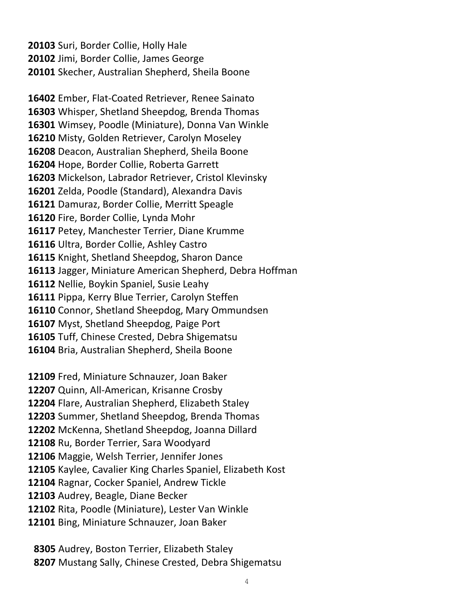Suri, Border Collie, Holly Hale Jimi, Border Collie, James George Skecher, Australian Shepherd, Sheila Boone

 Ember, Flat-Coated Retriever, Renee Sainato Whisper, Shetland Sheepdog, Brenda Thomas Wimsey, Poodle (Miniature), Donna Van Winkle Misty, Golden Retriever, Carolyn Moseley Deacon, Australian Shepherd, Sheila Boone Hope, Border Collie, Roberta Garrett Mickelson, Labrador Retriever, Cristol Klevinsky Zelda, Poodle (Standard), Alexandra Davis Damuraz, Border Collie, Merritt Speagle Fire, Border Collie, Lynda Mohr Petey, Manchester Terrier, Diane Krumme Ultra, Border Collie, Ashley Castro Knight, Shetland Sheepdog, Sharon Dance Jagger, Miniature American Shepherd, Debra Hoffman Nellie, Boykin Spaniel, Susie Leahy Pippa, Kerry Blue Terrier, Carolyn Steffen Connor, Shetland Sheepdog, Mary Ommundsen Myst, Shetland Sheepdog, Paige Port Tuff, Chinese Crested, Debra Shigematsu Bria, Australian Shepherd, Sheila Boone

 Fred, Miniature Schnauzer, Joan Baker Quinn, All-American, Krisanne Crosby Flare, Australian Shepherd, Elizabeth Staley Summer, Shetland Sheepdog, Brenda Thomas McKenna, Shetland Sheepdog, Joanna Dillard Ru, Border Terrier, Sara Woodyard Maggie, Welsh Terrier, Jennifer Jones Kaylee, Cavalier King Charles Spaniel, Elizabeth Kost Ragnar, Cocker Spaniel, Andrew Tickle Audrey, Beagle, Diane Becker Rita, Poodle (Miniature), Lester Van Winkle Bing, Miniature Schnauzer, Joan Baker

 Audrey, Boston Terrier, Elizabeth Staley Mustang Sally, Chinese Crested, Debra Shigematsu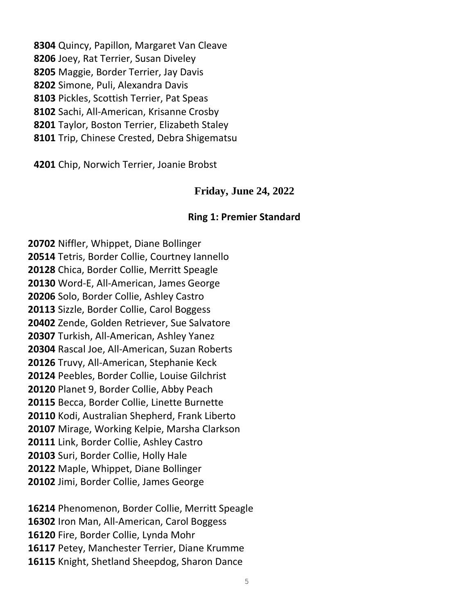Quincy, Papillon, Margaret Van Cleave Joey, Rat Terrier, Susan Diveley Maggie, Border Terrier, Jay Davis Simone, Puli, Alexandra Davis Pickles, Scottish Terrier, Pat Speas Sachi, All-American, Krisanne Crosby Taylor, Boston Terrier, Elizabeth Staley Trip, Chinese Crested, Debra Shigematsu

Chip, Norwich Terrier, Joanie Brobst

# **Friday, June 24, 2022**

#### **Ring 1: Premier Standard**

 Niffler, Whippet, Diane Bollinger Tetris, Border Collie, Courtney Iannello Chica, Border Collie, Merritt Speagle Word-E, All-American, James George Solo, Border Collie, Ashley Castro Sizzle, Border Collie, Carol Boggess Zende, Golden Retriever, Sue Salvatore Turkish, All-American, Ashley Yanez Rascal Joe, All-American, Suzan Roberts Truvy, All-American, Stephanie Keck Peebles, Border Collie, Louise Gilchrist Planet 9, Border Collie, Abby Peach Becca, Border Collie, Linette Burnette Kodi, Australian Shepherd, Frank Liberto Mirage, Working Kelpie, Marsha Clarkson Link, Border Collie, Ashley Castro Suri, Border Collie, Holly Hale Maple, Whippet, Diane Bollinger Jimi, Border Collie, James George

 Phenomenon, Border Collie, Merritt Speagle Iron Man, All-American, Carol Boggess Fire, Border Collie, Lynda Mohr Petey, Manchester Terrier, Diane Krumme Knight, Shetland Sheepdog, Sharon Dance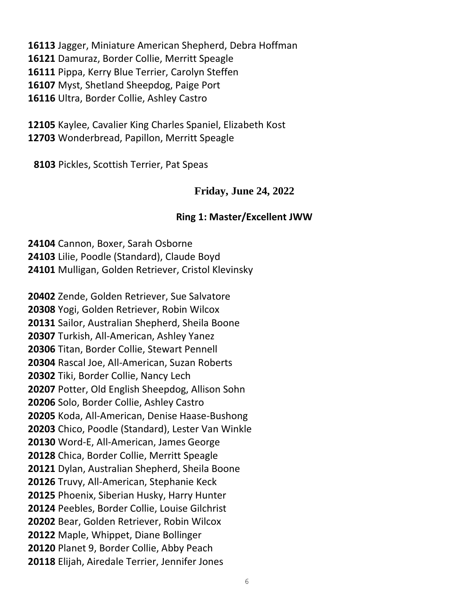Jagger, Miniature American Shepherd, Debra Hoffman Damuraz, Border Collie, Merritt Speagle Pippa, Kerry Blue Terrier, Carolyn Steffen Myst, Shetland Sheepdog, Paige Port Ultra, Border Collie, Ashley Castro

 Kaylee, Cavalier King Charles Spaniel, Elizabeth Kost Wonderbread, Papillon, Merritt Speagle

Pickles, Scottish Terrier, Pat Speas

# **Friday, June 24, 2022**

#### **Ring 1: Master/Excellent JWW**

 Cannon, Boxer, Sarah Osborne Lilie, Poodle (Standard), Claude Boyd Mulligan, Golden Retriever, Cristol Klevinsky

 Zende, Golden Retriever, Sue Salvatore Yogi, Golden Retriever, Robin Wilcox Sailor, Australian Shepherd, Sheila Boone Turkish, All-American, Ashley Yanez Titan, Border Collie, Stewart Pennell Rascal Joe, All-American, Suzan Roberts Tiki, Border Collie, Nancy Lech Potter, Old English Sheepdog, Allison Sohn Solo, Border Collie, Ashley Castro Koda, All-American, Denise Haase-Bushong Chico, Poodle (Standard), Lester Van Winkle Word-E, All-American, James George Chica, Border Collie, Merritt Speagle Dylan, Australian Shepherd, Sheila Boone Truvy, All-American, Stephanie Keck Phoenix, Siberian Husky, Harry Hunter Peebles, Border Collie, Louise Gilchrist Bear, Golden Retriever, Robin Wilcox Maple, Whippet, Diane Bollinger Planet 9, Border Collie, Abby Peach Elijah, Airedale Terrier, Jennifer Jones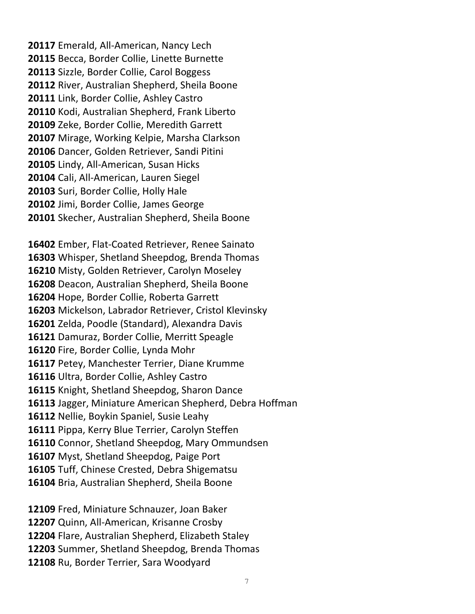Emerald, All-American, Nancy Lech Becca, Border Collie, Linette Burnette Sizzle, Border Collie, Carol Boggess River, Australian Shepherd, Sheila Boone Link, Border Collie, Ashley Castro Kodi, Australian Shepherd, Frank Liberto Zeke, Border Collie, Meredith Garrett Mirage, Working Kelpie, Marsha Clarkson Dancer, Golden Retriever, Sandi Pitini Lindy, All-American, Susan Hicks Cali, All-American, Lauren Siegel Suri, Border Collie, Holly Hale Jimi, Border Collie, James George Skecher, Australian Shepherd, Sheila Boone

 Ember, Flat-Coated Retriever, Renee Sainato Whisper, Shetland Sheepdog, Brenda Thomas Misty, Golden Retriever, Carolyn Moseley Deacon, Australian Shepherd, Sheila Boone Hope, Border Collie, Roberta Garrett Mickelson, Labrador Retriever, Cristol Klevinsky Zelda, Poodle (Standard), Alexandra Davis Damuraz, Border Collie, Merritt Speagle Fire, Border Collie, Lynda Mohr Petey, Manchester Terrier, Diane Krumme Ultra, Border Collie, Ashley Castro Knight, Shetland Sheepdog, Sharon Dance Jagger, Miniature American Shepherd, Debra Hoffman Nellie, Boykin Spaniel, Susie Leahy Pippa, Kerry Blue Terrier, Carolyn Steffen Connor, Shetland Sheepdog, Mary Ommundsen Myst, Shetland Sheepdog, Paige Port Tuff, Chinese Crested, Debra Shigematsu Bria, Australian Shepherd, Sheila Boone

 Fred, Miniature Schnauzer, Joan Baker Quinn, All-American, Krisanne Crosby Flare, Australian Shepherd, Elizabeth Staley Summer, Shetland Sheepdog, Brenda Thomas Ru, Border Terrier, Sara Woodyard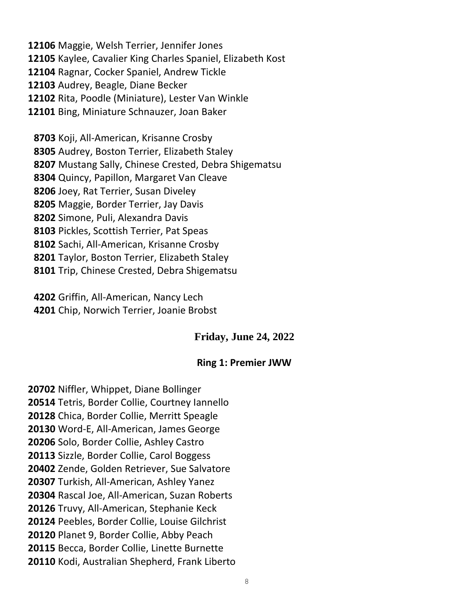Maggie, Welsh Terrier, Jennifer Jones Kaylee, Cavalier King Charles Spaniel, Elizabeth Kost Ragnar, Cocker Spaniel, Andrew Tickle Audrey, Beagle, Diane Becker Rita, Poodle (Miniature), Lester Van Winkle Bing, Miniature Schnauzer, Joan Baker

 Koji, All-American, Krisanne Crosby Audrey, Boston Terrier, Elizabeth Staley Mustang Sally, Chinese Crested, Debra Shigematsu Quincy, Papillon, Margaret Van Cleave Joey, Rat Terrier, Susan Diveley Maggie, Border Terrier, Jay Davis Simone, Puli, Alexandra Davis Pickles, Scottish Terrier, Pat Speas Sachi, All-American, Krisanne Crosby Taylor, Boston Terrier, Elizabeth Staley Trip, Chinese Crested, Debra Shigematsu

 Griffin, All-American, Nancy Lech Chip, Norwich Terrier, Joanie Brobst

# **Friday, June 24, 2022**

#### **Ring 1: Premier JWW**

 Niffler, Whippet, Diane Bollinger Tetris, Border Collie, Courtney Iannello Chica, Border Collie, Merritt Speagle Word-E, All-American, James George Solo, Border Collie, Ashley Castro Sizzle, Border Collie, Carol Boggess Zende, Golden Retriever, Sue Salvatore Turkish, All-American, Ashley Yanez Rascal Joe, All-American, Suzan Roberts Truvy, All-American, Stephanie Keck Peebles, Border Collie, Louise Gilchrist Planet 9, Border Collie, Abby Peach Becca, Border Collie, Linette Burnette Kodi, Australian Shepherd, Frank Liberto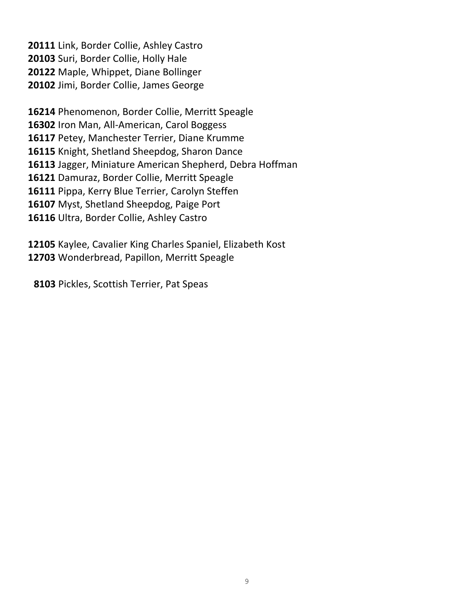Link, Border Collie, Ashley Castro Suri, Border Collie, Holly Hale Maple, Whippet, Diane Bollinger Jimi, Border Collie, James George

 Phenomenon, Border Collie, Merritt Speagle Iron Man, All-American, Carol Boggess Petey, Manchester Terrier, Diane Krumme Knight, Shetland Sheepdog, Sharon Dance Jagger, Miniature American Shepherd, Debra Hoffman Damuraz, Border Collie, Merritt Speagle Pippa, Kerry Blue Terrier, Carolyn Steffen Myst, Shetland Sheepdog, Paige Port Ultra, Border Collie, Ashley Castro

 Kaylee, Cavalier King Charles Spaniel, Elizabeth Kost Wonderbread, Papillon, Merritt Speagle

Pickles, Scottish Terrier, Pat Speas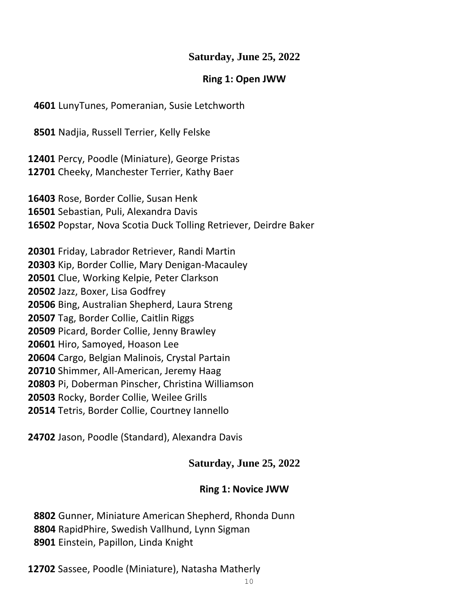# **Saturday, June 25, 2022**

#### **Ring 1: Open JWW**

LunyTunes, Pomeranian, Susie Letchworth

Nadjia, Russell Terrier, Kelly Felske

 Percy, Poodle (Miniature), George Pristas Cheeky, Manchester Terrier, Kathy Baer

 Rose, Border Collie, Susan Henk Sebastian, Puli, Alexandra Davis Popstar, Nova Scotia Duck Tolling Retriever, Deirdre Baker

 Friday, Labrador Retriever, Randi Martin Kip, Border Collie, Mary Denigan-Macauley Clue, Working Kelpie, Peter Clarkson Jazz, Boxer, Lisa Godfrey Bing, Australian Shepherd, Laura Streng Tag, Border Collie, Caitlin Riggs Picard, Border Collie, Jenny Brawley Hiro, Samoyed, Hoason Lee Cargo, Belgian Malinois, Crystal Partain Shimmer, All-American, Jeremy Haag Pi, Doberman Pinscher, Christina Williamson Rocky, Border Collie, Weilee Grills Tetris, Border Collie, Courtney Iannello

Jason, Poodle (Standard), Alexandra Davis

# **Saturday, June 25, 2022**

#### **Ring 1: Novice JWW**

 Gunner, Miniature American Shepherd, Rhonda Dunn RapidPhire, Swedish Vallhund, Lynn Sigman Einstein, Papillon, Linda Knight

Sassee, Poodle (Miniature), Natasha Matherly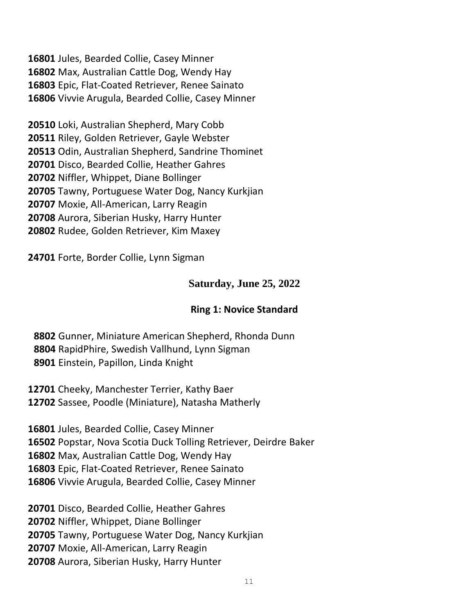Jules, Bearded Collie, Casey Minner Max, Australian Cattle Dog, Wendy Hay Epic, Flat-Coated Retriever, Renee Sainato Vivvie Arugula, Bearded Collie, Casey Minner

 Loki, Australian Shepherd, Mary Cobb Riley, Golden Retriever, Gayle Webster Odin, Australian Shepherd, Sandrine Thominet Disco, Bearded Collie, Heather Gahres Niffler, Whippet, Diane Bollinger Tawny, Portuguese Water Dog, Nancy Kurkjian Moxie, All-American, Larry Reagin Aurora, Siberian Husky, Harry Hunter Rudee, Golden Retriever, Kim Maxey

Forte, Border Collie, Lynn Sigman

# **Saturday, June 25, 2022**

# **Ring 1: Novice Standard**

 Gunner, Miniature American Shepherd, Rhonda Dunn RapidPhire, Swedish Vallhund, Lynn Sigman Einstein, Papillon, Linda Knight

 Cheeky, Manchester Terrier, Kathy Baer Sassee, Poodle (Miniature), Natasha Matherly

 Jules, Bearded Collie, Casey Minner Popstar, Nova Scotia Duck Tolling Retriever, Deirdre Baker Max, Australian Cattle Dog, Wendy Hay Epic, Flat-Coated Retriever, Renee Sainato Vivvie Arugula, Bearded Collie, Casey Minner

 Disco, Bearded Collie, Heather Gahres Niffler, Whippet, Diane Bollinger Tawny, Portuguese Water Dog, Nancy Kurkjian Moxie, All-American, Larry Reagin Aurora, Siberian Husky, Harry Hunter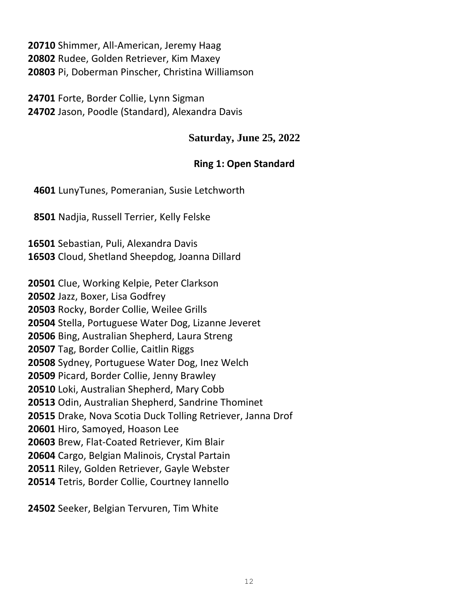Shimmer, All-American, Jeremy Haag Rudee, Golden Retriever, Kim Maxey Pi, Doberman Pinscher, Christina Williamson

 Forte, Border Collie, Lynn Sigman Jason, Poodle (Standard), Alexandra Davis

# **Saturday, June 25, 2022**

# **Ring 1: Open Standard**

LunyTunes, Pomeranian, Susie Letchworth

Nadjia, Russell Terrier, Kelly Felske

 Sebastian, Puli, Alexandra Davis Cloud, Shetland Sheepdog, Joanna Dillard

 Clue, Working Kelpie, Peter Clarkson Jazz, Boxer, Lisa Godfrey Rocky, Border Collie, Weilee Grills Stella, Portuguese Water Dog, Lizanne Jeveret Bing, Australian Shepherd, Laura Streng Tag, Border Collie, Caitlin Riggs Sydney, Portuguese Water Dog, Inez Welch Picard, Border Collie, Jenny Brawley Loki, Australian Shepherd, Mary Cobb Odin, Australian Shepherd, Sandrine Thominet Drake, Nova Scotia Duck Tolling Retriever, Janna Drof Hiro, Samoyed, Hoason Lee Brew, Flat-Coated Retriever, Kim Blair Cargo, Belgian Malinois, Crystal Partain Riley, Golden Retriever, Gayle Webster Tetris, Border Collie, Courtney Iannello

Seeker, Belgian Tervuren, Tim White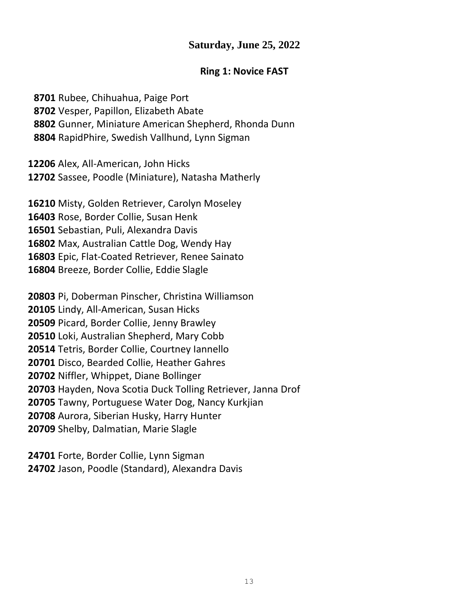# **Saturday, June 25, 2022**

#### **Ring 1: Novice FAST**

 Rubee, Chihuahua, Paige Port Vesper, Papillon, Elizabeth Abate Gunner, Miniature American Shepherd, Rhonda Dunn RapidPhire, Swedish Vallhund, Lynn Sigman

 Alex, All-American, John Hicks Sassee, Poodle (Miniature), Natasha Matherly

 Misty, Golden Retriever, Carolyn Moseley Rose, Border Collie, Susan Henk Sebastian, Puli, Alexandra Davis Max, Australian Cattle Dog, Wendy Hay Epic, Flat-Coated Retriever, Renee Sainato Breeze, Border Collie, Eddie Slagle

 Pi, Doberman Pinscher, Christina Williamson Lindy, All-American, Susan Hicks Picard, Border Collie, Jenny Brawley Loki, Australian Shepherd, Mary Cobb Tetris, Border Collie, Courtney Iannello Disco, Bearded Collie, Heather Gahres Niffler, Whippet, Diane Bollinger Hayden, Nova Scotia Duck Tolling Retriever, Janna Drof Tawny, Portuguese Water Dog, Nancy Kurkjian Aurora, Siberian Husky, Harry Hunter Shelby, Dalmatian, Marie Slagle

 Forte, Border Collie, Lynn Sigman Jason, Poodle (Standard), Alexandra Davis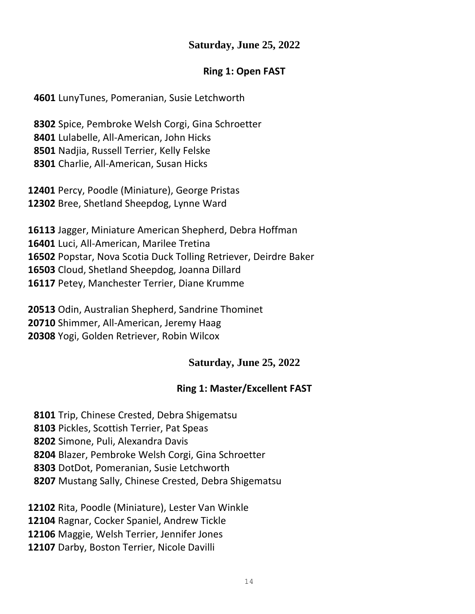# **Saturday, June 25, 2022**

### **Ring 1: Open FAST**

### LunyTunes, Pomeranian, Susie Letchworth

 Spice, Pembroke Welsh Corgi, Gina Schroetter Lulabelle, All-American, John Hicks Nadjia, Russell Terrier, Kelly Felske Charlie, All-American, Susan Hicks

 Percy, Poodle (Miniature), George Pristas Bree, Shetland Sheepdog, Lynne Ward

 Jagger, Miniature American Shepherd, Debra Hoffman Luci, All-American, Marilee Tretina Popstar, Nova Scotia Duck Tolling Retriever, Deirdre Baker Cloud, Shetland Sheepdog, Joanna Dillard Petey, Manchester Terrier, Diane Krumme

 Odin, Australian Shepherd, Sandrine Thominet Shimmer, All-American, Jeremy Haag Yogi, Golden Retriever, Robin Wilcox

# **Saturday, June 25, 2022**

# **Ring 1: Master/Excellent FAST**

- Trip, Chinese Crested, Debra Shigematsu
- Pickles, Scottish Terrier, Pat Speas
- Simone, Puli, Alexandra Davis
- Blazer, Pembroke Welsh Corgi, Gina Schroetter
- DotDot, Pomeranian, Susie Letchworth
- Mustang Sally, Chinese Crested, Debra Shigematsu

Rita, Poodle (Miniature), Lester Van Winkle

Ragnar, Cocker Spaniel, Andrew Tickle

Maggie, Welsh Terrier, Jennifer Jones

Darby, Boston Terrier, Nicole Davilli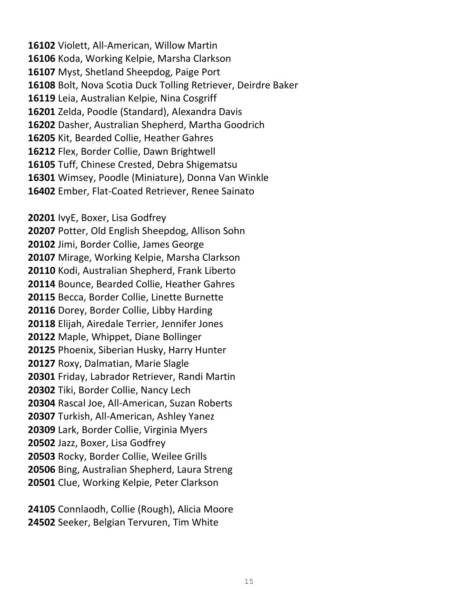Violett, All-American, Willow Martin Koda, Working Kelpie, Marsha Clarkson Myst, Shetland Sheepdog, Paige Port Bolt, Nova Scotia Duck Tolling Retriever, Deirdre Baker Leia, Australian Kelpie, Nina Cosgriff Zelda, Poodle (Standard), Alexandra Davis Dasher, Australian Shepherd, Martha Goodrich Kit, Bearded Collie, Heather Gahres Flex, Border Collie, Dawn Brightwell Tuff, Chinese Crested, Debra Shigematsu Wimsey, Poodle (Miniature), Donna Van Winkle Ember, Flat-Coated Retriever, Renee Sainato

 IvyE, Boxer, Lisa Godfrey Potter, Old English Sheepdog, Allison Sohn Jimi, Border Collie, James George Mirage, Working Kelpie, Marsha Clarkson Kodi, Australian Shepherd, Frank Liberto Bounce, Bearded Collie, Heather Gahres Becca, Border Collie, Linette Burnette Dorey, Border Collie, Libby Harding Elijah, Airedale Terrier, Jennifer Jones Maple, Whippet, Diane Bollinger Phoenix, Siberian Husky, Harry Hunter Roxy, Dalmatian, Marie Slagle Friday, Labrador Retriever, Randi Martin Tiki, Border Collie, Nancy Lech Rascal Joe, All-American, Suzan Roberts Turkish, All-American, Ashley Yanez Lark, Border Collie, Virginia Myers Jazz, Boxer, Lisa Godfrey Rocky, Border Collie, Weilee Grills Bing, Australian Shepherd, Laura Streng Clue, Working Kelpie, Peter Clarkson

 Connlaodh, Collie (Rough), Alicia Moore Seeker, Belgian Tervuren, Tim White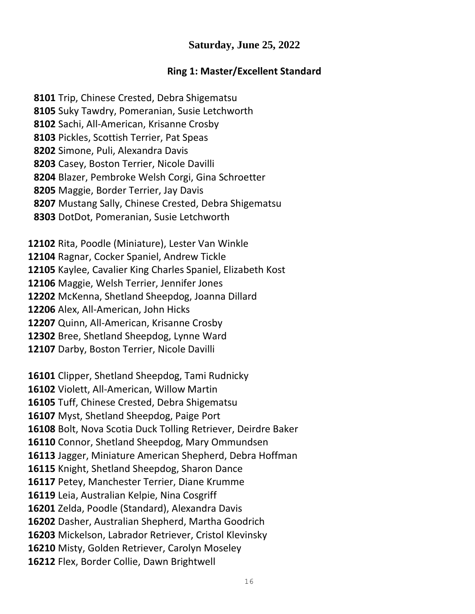# **Saturday, June 25, 2022**

#### **Ring 1: Master/Excellent Standard**

 Trip, Chinese Crested, Debra Shigematsu Suky Tawdry, Pomeranian, Susie Letchworth Sachi, All-American, Krisanne Crosby Pickles, Scottish Terrier, Pat Speas Simone, Puli, Alexandra Davis Casey, Boston Terrier, Nicole Davilli Blazer, Pembroke Welsh Corgi, Gina Schroetter Maggie, Border Terrier, Jay Davis Mustang Sally, Chinese Crested, Debra Shigematsu DotDot, Pomeranian, Susie Letchworth Rita, Poodle (Miniature), Lester Van Winkle Ragnar, Cocker Spaniel, Andrew Tickle Kaylee, Cavalier King Charles Spaniel, Elizabeth Kost

Maggie, Welsh Terrier, Jennifer Jones

McKenna, Shetland Sheepdog, Joanna Dillard

Alex, All-American, John Hicks

Quinn, All-American, Krisanne Crosby

Bree, Shetland Sheepdog, Lynne Ward

Darby, Boston Terrier, Nicole Davilli

 Clipper, Shetland Sheepdog, Tami Rudnicky Violett, All-American, Willow Martin Tuff, Chinese Crested, Debra Shigematsu Myst, Shetland Sheepdog, Paige Port Bolt, Nova Scotia Duck Tolling Retriever, Deirdre Baker Connor, Shetland Sheepdog, Mary Ommundsen Jagger, Miniature American Shepherd, Debra Hoffman Knight, Shetland Sheepdog, Sharon Dance Petey, Manchester Terrier, Diane Krumme Leia, Australian Kelpie, Nina Cosgriff Zelda, Poodle (Standard), Alexandra Davis Dasher, Australian Shepherd, Martha Goodrich Mickelson, Labrador Retriever, Cristol Klevinsky Misty, Golden Retriever, Carolyn Moseley Flex, Border Collie, Dawn Brightwell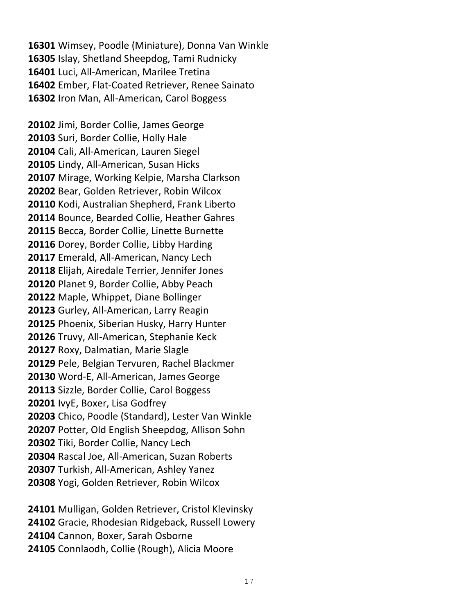Wimsey, Poodle (Miniature), Donna Van Winkle Islay, Shetland Sheepdog, Tami Rudnicky Luci, All-American, Marilee Tretina Ember, Flat-Coated Retriever, Renee Sainato Iron Man, All-American, Carol Boggess

 Jimi, Border Collie, James George Suri, Border Collie, Holly Hale Cali, All-American, Lauren Siegel Lindy, All-American, Susan Hicks Mirage, Working Kelpie, Marsha Clarkson Bear, Golden Retriever, Robin Wilcox Kodi, Australian Shepherd, Frank Liberto Bounce, Bearded Collie, Heather Gahres Becca, Border Collie, Linette Burnette Dorey, Border Collie, Libby Harding Emerald, All-American, Nancy Lech Elijah, Airedale Terrier, Jennifer Jones Planet 9, Border Collie, Abby Peach Maple, Whippet, Diane Bollinger Gurley, All-American, Larry Reagin Phoenix, Siberian Husky, Harry Hunter Truvy, All-American, Stephanie Keck Roxy, Dalmatian, Marie Slagle Pele, Belgian Tervuren, Rachel Blackmer Word-E, All-American, James George Sizzle, Border Collie, Carol Boggess IvyE, Boxer, Lisa Godfrey Chico, Poodle (Standard), Lester Van Winkle Potter, Old English Sheepdog, Allison Sohn Tiki, Border Collie, Nancy Lech Rascal Joe, All-American, Suzan Roberts Turkish, All-American, Ashley Yanez Yogi, Golden Retriever, Robin Wilcox

 Mulligan, Golden Retriever, Cristol Klevinsky Gracie, Rhodesian Ridgeback, Russell Lowery Cannon, Boxer, Sarah Osborne Connlaodh, Collie (Rough), Alicia Moore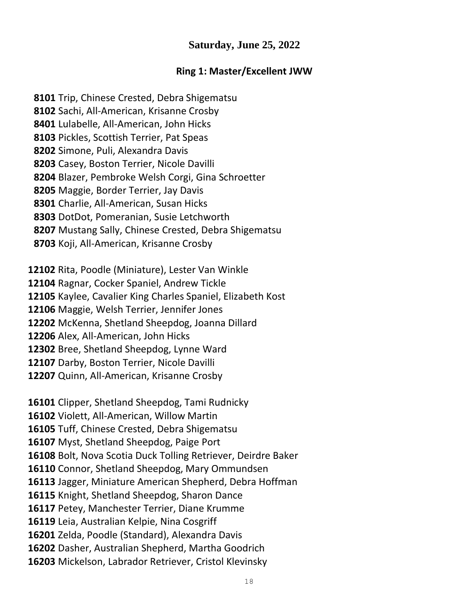# **Saturday, June 25, 2022**

#### **Ring 1: Master/Excellent JWW**

 Trip, Chinese Crested, Debra Shigematsu Sachi, All-American, Krisanne Crosby Lulabelle, All-American, John Hicks Pickles, Scottish Terrier, Pat Speas Simone, Puli, Alexandra Davis Casey, Boston Terrier, Nicole Davilli Blazer, Pembroke Welsh Corgi, Gina Schroetter Maggie, Border Terrier, Jay Davis Charlie, All-American, Susan Hicks DotDot, Pomeranian, Susie Letchworth Mustang Sally, Chinese Crested, Debra Shigematsu Koji, All-American, Krisanne Crosby

 Rita, Poodle (Miniature), Lester Van Winkle Ragnar, Cocker Spaniel, Andrew Tickle Kaylee, Cavalier King Charles Spaniel, Elizabeth Kost Maggie, Welsh Terrier, Jennifer Jones McKenna, Shetland Sheepdog, Joanna Dillard Alex, All-American, John Hicks Bree, Shetland Sheepdog, Lynne Ward Darby, Boston Terrier, Nicole Davilli Quinn, All-American, Krisanne Crosby

 Clipper, Shetland Sheepdog, Tami Rudnicky Violett, All-American, Willow Martin Tuff, Chinese Crested, Debra Shigematsu Myst, Shetland Sheepdog, Paige Port Bolt, Nova Scotia Duck Tolling Retriever, Deirdre Baker Connor, Shetland Sheepdog, Mary Ommundsen Jagger, Miniature American Shepherd, Debra Hoffman Knight, Shetland Sheepdog, Sharon Dance Petey, Manchester Terrier, Diane Krumme Leia, Australian Kelpie, Nina Cosgriff Zelda, Poodle (Standard), Alexandra Davis Dasher, Australian Shepherd, Martha Goodrich Mickelson, Labrador Retriever, Cristol Klevinsky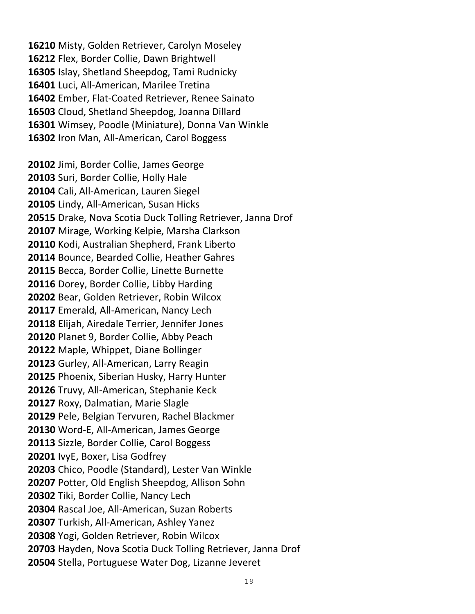Misty, Golden Retriever, Carolyn Moseley Flex, Border Collie, Dawn Brightwell Islay, Shetland Sheepdog, Tami Rudnicky Luci, All-American, Marilee Tretina Ember, Flat-Coated Retriever, Renee Sainato Cloud, Shetland Sheepdog, Joanna Dillard Wimsey, Poodle (Miniature), Donna Van Winkle Iron Man, All-American, Carol Boggess

 Jimi, Border Collie, James George Suri, Border Collie, Holly Hale Cali, All-American, Lauren Siegel Lindy, All-American, Susan Hicks Drake, Nova Scotia Duck Tolling Retriever, Janna Drof Mirage, Working Kelpie, Marsha Clarkson Kodi, Australian Shepherd, Frank Liberto Bounce, Bearded Collie, Heather Gahres Becca, Border Collie, Linette Burnette Dorey, Border Collie, Libby Harding Bear, Golden Retriever, Robin Wilcox Emerald, All-American, Nancy Lech Elijah, Airedale Terrier, Jennifer Jones Planet 9, Border Collie, Abby Peach Maple, Whippet, Diane Bollinger Gurley, All-American, Larry Reagin Phoenix, Siberian Husky, Harry Hunter Truvy, All-American, Stephanie Keck Roxy, Dalmatian, Marie Slagle Pele, Belgian Tervuren, Rachel Blackmer Word-E, All-American, James George Sizzle, Border Collie, Carol Boggess IvyE, Boxer, Lisa Godfrey Chico, Poodle (Standard), Lester Van Winkle Potter, Old English Sheepdog, Allison Sohn Tiki, Border Collie, Nancy Lech Rascal Joe, All-American, Suzan Roberts Turkish, All-American, Ashley Yanez Yogi, Golden Retriever, Robin Wilcox Hayden, Nova Scotia Duck Tolling Retriever, Janna Drof Stella, Portuguese Water Dog, Lizanne Jeveret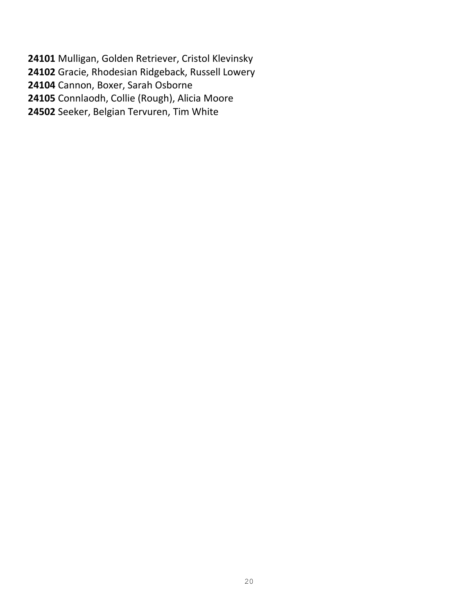Mulligan, Golden Retriever, Cristol Klevinsky Gracie, Rhodesian Ridgeback, Russell Lowery Cannon, Boxer, Sarah Osborne Connlaodh, Collie (Rough), Alicia Moore Seeker, Belgian Tervuren, Tim White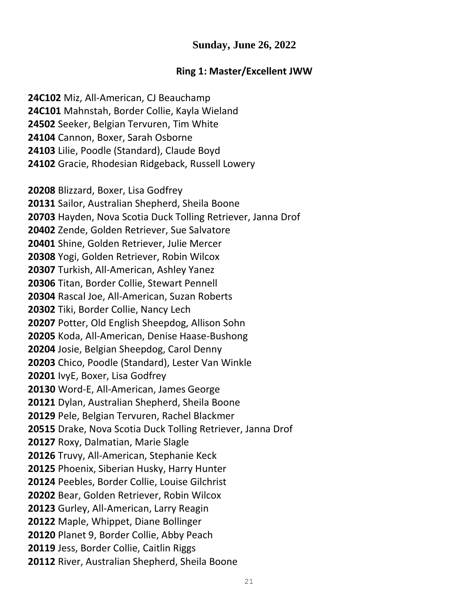### **Sunday, June 26, 2022**

#### **Ring 1: Master/Excellent JWW**

**24C102** Miz, All-American, CJ Beauchamp **24C101** Mahnstah, Border Collie, Kayla Wieland Seeker, Belgian Tervuren, Tim White Cannon, Boxer, Sarah Osborne Lilie, Poodle (Standard), Claude Boyd Gracie, Rhodesian Ridgeback, Russell Lowery Blizzard, Boxer, Lisa Godfrey Sailor, Australian Shepherd, Sheila Boone Hayden, Nova Scotia Duck Tolling Retriever, Janna Drof Zende, Golden Retriever, Sue Salvatore Shine, Golden Retriever, Julie Mercer Yogi, Golden Retriever, Robin Wilcox Turkish, All-American, Ashley Yanez Titan, Border Collie, Stewart Pennell Rascal Joe, All-American, Suzan Roberts Tiki, Border Collie, Nancy Lech Potter, Old English Sheepdog, Allison Sohn Koda, All-American, Denise Haase-Bushong Josie, Belgian Sheepdog, Carol Denny Chico, Poodle (Standard), Lester Van Winkle IvyE, Boxer, Lisa Godfrey Word-E, All-American, James George Dylan, Australian Shepherd, Sheila Boone Pele, Belgian Tervuren, Rachel Blackmer Drake, Nova Scotia Duck Tolling Retriever, Janna Drof Roxy, Dalmatian, Marie Slagle Truvy, All-American, Stephanie Keck Phoenix, Siberian Husky, Harry Hunter Peebles, Border Collie, Louise Gilchrist Bear, Golden Retriever, Robin Wilcox Gurley, All-American, Larry Reagin Maple, Whippet, Diane Bollinger Planet 9, Border Collie, Abby Peach Jess, Border Collie, Caitlin Riggs River, Australian Shepherd, Sheila Boone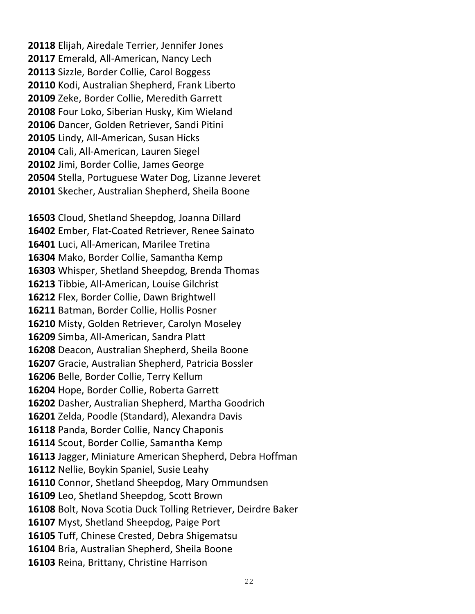Elijah, Airedale Terrier, Jennifer Jones Emerald, All-American, Nancy Lech Sizzle, Border Collie, Carol Boggess Kodi, Australian Shepherd, Frank Liberto Zeke, Border Collie, Meredith Garrett Four Loko, Siberian Husky, Kim Wieland Dancer, Golden Retriever, Sandi Pitini Lindy, All-American, Susan Hicks Cali, All-American, Lauren Siegel Jimi, Border Collie, James George Stella, Portuguese Water Dog, Lizanne Jeveret Skecher, Australian Shepherd, Sheila Boone

 Cloud, Shetland Sheepdog, Joanna Dillard Ember, Flat-Coated Retriever, Renee Sainato Luci, All-American, Marilee Tretina Mako, Border Collie, Samantha Kemp Whisper, Shetland Sheepdog, Brenda Thomas Tibbie, All-American, Louise Gilchrist Flex, Border Collie, Dawn Brightwell Batman, Border Collie, Hollis Posner Misty, Golden Retriever, Carolyn Moseley Simba, All-American, Sandra Platt Deacon, Australian Shepherd, Sheila Boone Gracie, Australian Shepherd, Patricia Bossler Belle, Border Collie, Terry Kellum Hope, Border Collie, Roberta Garrett Dasher, Australian Shepherd, Martha Goodrich Zelda, Poodle (Standard), Alexandra Davis Panda, Border Collie, Nancy Chaponis Scout, Border Collie, Samantha Kemp Jagger, Miniature American Shepherd, Debra Hoffman Nellie, Boykin Spaniel, Susie Leahy Connor, Shetland Sheepdog, Mary Ommundsen Leo, Shetland Sheepdog, Scott Brown Bolt, Nova Scotia Duck Tolling Retriever, Deirdre Baker Myst, Shetland Sheepdog, Paige Port Tuff, Chinese Crested, Debra Shigematsu Bria, Australian Shepherd, Sheila Boone Reina, Brittany, Christine Harrison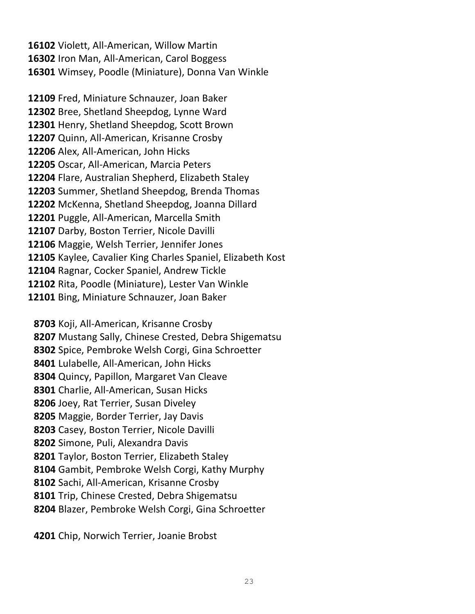Violett, All-American, Willow Martin Iron Man, All-American, Carol Boggess Wimsey, Poodle (Miniature), Donna Van Winkle

 Fred, Miniature Schnauzer, Joan Baker Bree, Shetland Sheepdog, Lynne Ward Henry, Shetland Sheepdog, Scott Brown Quinn, All-American, Krisanne Crosby Alex, All-American, John Hicks Oscar, All-American, Marcia Peters Flare, Australian Shepherd, Elizabeth Staley Summer, Shetland Sheepdog, Brenda Thomas McKenna, Shetland Sheepdog, Joanna Dillard Puggle, All-American, Marcella Smith Darby, Boston Terrier, Nicole Davilli Maggie, Welsh Terrier, Jennifer Jones Kaylee, Cavalier King Charles Spaniel, Elizabeth Kost Ragnar, Cocker Spaniel, Andrew Tickle Rita, Poodle (Miniature), Lester Van Winkle Bing, Miniature Schnauzer, Joan Baker

 Koji, All-American, Krisanne Crosby Mustang Sally, Chinese Crested, Debra Shigematsu Spice, Pembroke Welsh Corgi, Gina Schroetter Lulabelle, All-American, John Hicks Quincy, Papillon, Margaret Van Cleave Charlie, All-American, Susan Hicks Joey, Rat Terrier, Susan Diveley Maggie, Border Terrier, Jay Davis Casey, Boston Terrier, Nicole Davilli Simone, Puli, Alexandra Davis Taylor, Boston Terrier, Elizabeth Staley Gambit, Pembroke Welsh Corgi, Kathy Murphy Sachi, All-American, Krisanne Crosby Trip, Chinese Crested, Debra Shigematsu Blazer, Pembroke Welsh Corgi, Gina Schroetter

Chip, Norwich Terrier, Joanie Brobst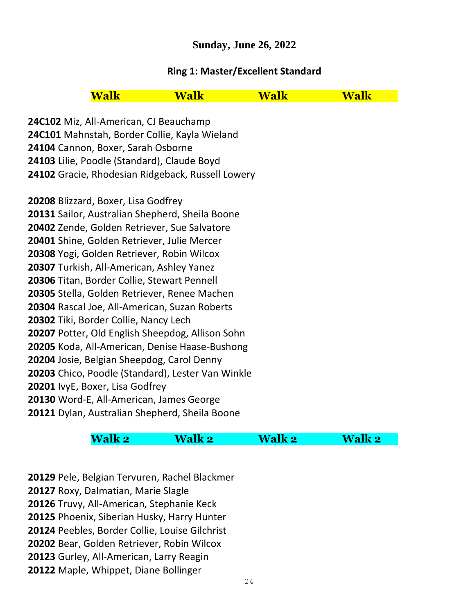#### **Sunday, June 26, 2022**

#### **Ring 1: Master/Excellent Standard**

| <b>Walk</b> | <b>Walk</b> | <b>Walk</b> | <b>Walk</b> |
|-------------|-------------|-------------|-------------|

**24C102** Miz, All-American, CJ Beauchamp **24C101** Mahnstah, Border Collie, Kayla Wieland Cannon, Boxer, Sarah Osborne Lilie, Poodle (Standard), Claude Boyd Gracie, Rhodesian Ridgeback, Russell Lowery

 Blizzard, Boxer, Lisa Godfrey Sailor, Australian Shepherd, Sheila Boone Zende, Golden Retriever, Sue Salvatore Shine, Golden Retriever, Julie Mercer Yogi, Golden Retriever, Robin Wilcox Turkish, All-American, Ashley Yanez Titan, Border Collie, Stewart Pennell Stella, Golden Retriever, Renee Machen Rascal Joe, All-American, Suzan Roberts Tiki, Border Collie, Nancy Lech Potter, Old English Sheepdog, Allison Sohn Koda, All-American, Denise Haase-Bushong Josie, Belgian Sheepdog, Carol Denny Chico, Poodle (Standard), Lester Van Winkle IvyE, Boxer, Lisa Godfrey Word-E, All-American, James George Dylan, Australian Shepherd, Sheila Boone

| <b>Walk 2</b> |
|---------------|
|               |

 Pele, Belgian Tervuren, Rachel Blackmer Roxy, Dalmatian, Marie Slagle Truvy, All-American, Stephanie Keck Phoenix, Siberian Husky, Harry Hunter Peebles, Border Collie, Louise Gilchrist Bear, Golden Retriever, Robin Wilcox Gurley, All-American, Larry Reagin Maple, Whippet, Diane Bollinger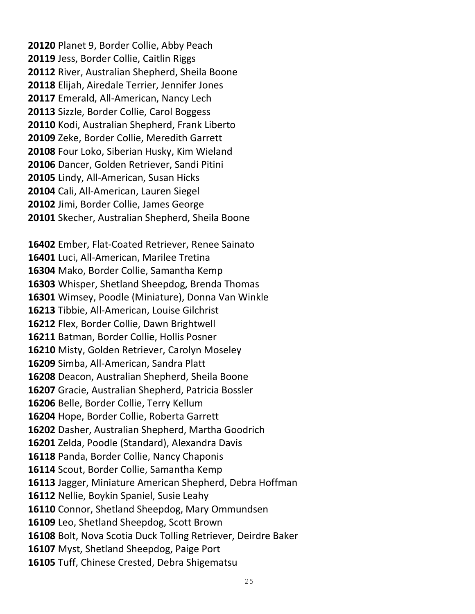Planet 9, Border Collie, Abby Peach Jess, Border Collie, Caitlin Riggs River, Australian Shepherd, Sheila Boone Elijah, Airedale Terrier, Jennifer Jones Emerald, All-American, Nancy Lech Sizzle, Border Collie, Carol Boggess Kodi, Australian Shepherd, Frank Liberto Zeke, Border Collie, Meredith Garrett Four Loko, Siberian Husky, Kim Wieland Dancer, Golden Retriever, Sandi Pitini Lindy, All-American, Susan Hicks Cali, All-American, Lauren Siegel Jimi, Border Collie, James George Skecher, Australian Shepherd, Sheila Boone

 Ember, Flat-Coated Retriever, Renee Sainato Luci, All-American, Marilee Tretina Mako, Border Collie, Samantha Kemp Whisper, Shetland Sheepdog, Brenda Thomas Wimsey, Poodle (Miniature), Donna Van Winkle Tibbie, All-American, Louise Gilchrist Flex, Border Collie, Dawn Brightwell Batman, Border Collie, Hollis Posner Misty, Golden Retriever, Carolyn Moseley Simba, All-American, Sandra Platt Deacon, Australian Shepherd, Sheila Boone Gracie, Australian Shepherd, Patricia Bossler Belle, Border Collie, Terry Kellum Hope, Border Collie, Roberta Garrett Dasher, Australian Shepherd, Martha Goodrich Zelda, Poodle (Standard), Alexandra Davis Panda, Border Collie, Nancy Chaponis Scout, Border Collie, Samantha Kemp Jagger, Miniature American Shepherd, Debra Hoffman Nellie, Boykin Spaniel, Susie Leahy Connor, Shetland Sheepdog, Mary Ommundsen Leo, Shetland Sheepdog, Scott Brown Bolt, Nova Scotia Duck Tolling Retriever, Deirdre Baker Myst, Shetland Sheepdog, Paige Port Tuff, Chinese Crested, Debra Shigematsu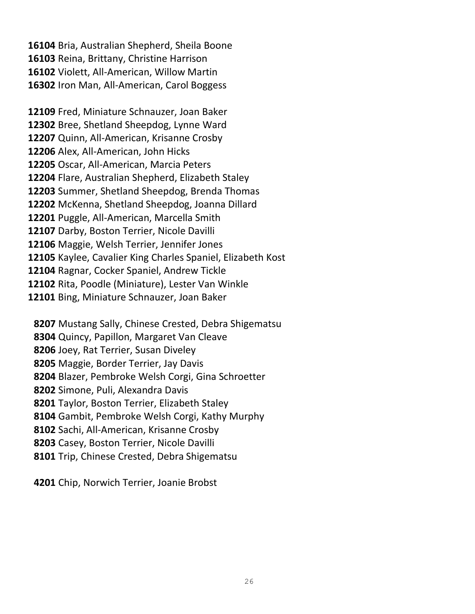Bria, Australian Shepherd, Sheila Boone Reina, Brittany, Christine Harrison Violett, All-American, Willow Martin Iron Man, All-American, Carol Boggess

 Fred, Miniature Schnauzer, Joan Baker Bree, Shetland Sheepdog, Lynne Ward Quinn, All-American, Krisanne Crosby Alex, All-American, John Hicks Oscar, All-American, Marcia Peters Flare, Australian Shepherd, Elizabeth Staley Summer, Shetland Sheepdog, Brenda Thomas McKenna, Shetland Sheepdog, Joanna Dillard Puggle, All-American, Marcella Smith Darby, Boston Terrier, Nicole Davilli Maggie, Welsh Terrier, Jennifer Jones Kaylee, Cavalier King Charles Spaniel, Elizabeth Kost Ragnar, Cocker Spaniel, Andrew Tickle Rita, Poodle (Miniature), Lester Van Winkle Bing, Miniature Schnauzer, Joan Baker

 Mustang Sally, Chinese Crested, Debra Shigematsu Quincy, Papillon, Margaret Van Cleave Joey, Rat Terrier, Susan Diveley Maggie, Border Terrier, Jay Davis Blazer, Pembroke Welsh Corgi, Gina Schroetter Simone, Puli, Alexandra Davis Taylor, Boston Terrier, Elizabeth Staley Gambit, Pembroke Welsh Corgi, Kathy Murphy Sachi, All-American, Krisanne Crosby Casey, Boston Terrier, Nicole Davilli Trip, Chinese Crested, Debra Shigematsu

Chip, Norwich Terrier, Joanie Brobst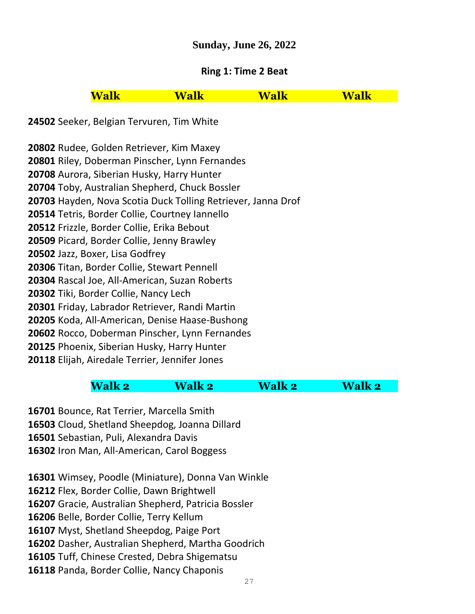#### **Sunday, June 26, 2022**

#### **Ring 1: Time 2 Beat**

| <b>Walk</b><br><b>Walk</b><br><b>Walk</b><br><b>Walk</b> |
|----------------------------------------------------------|
|----------------------------------------------------------|

Seeker, Belgian Tervuren, Tim White

 Rudee, Golden Retriever, Kim Maxey Riley, Doberman Pinscher, Lynn Fernandes Aurora, Siberian Husky, Harry Hunter Toby, Australian Shepherd, Chuck Bossler Hayden, Nova Scotia Duck Tolling Retriever, Janna Drof Tetris, Border Collie, Courtney Iannello Frizzle, Border Collie, Erika Bebout Picard, Border Collie, Jenny Brawley Jazz, Boxer, Lisa Godfrey Titan, Border Collie, Stewart Pennell Rascal Joe, All-American, Suzan Roberts Tiki, Border Collie, Nancy Lech Friday, Labrador Retriever, Randi Martin Koda, All-American, Denise Haase-Bushong Rocco, Doberman Pinscher, Lynn Fernandes Phoenix, Siberian Husky, Harry Hunter Elijah, Airedale Terrier, Jennifer Jones

| <b>Walk 2</b> | <b>Walk 2</b> | <b>Walk 2</b> | <b>Walk 2</b> |
|---------------|---------------|---------------|---------------|
|               |               |               |               |

 Bounce, Rat Terrier, Marcella Smith Cloud, Shetland Sheepdog, Joanna Dillard Sebastian, Puli, Alexandra Davis Iron Man, All-American, Carol Boggess

 Wimsey, Poodle (Miniature), Donna Van Winkle Flex, Border Collie, Dawn Brightwell Gracie, Australian Shepherd, Patricia Bossler Belle, Border Collie, Terry Kellum Myst, Shetland Sheepdog, Paige Port Dasher, Australian Shepherd, Martha Goodrich Tuff, Chinese Crested, Debra Shigematsu Panda, Border Collie, Nancy Chaponis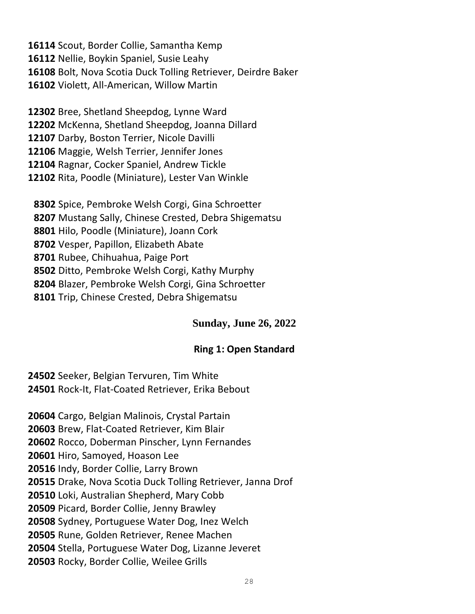Scout, Border Collie, Samantha Kemp Nellie, Boykin Spaniel, Susie Leahy Bolt, Nova Scotia Duck Tolling Retriever, Deirdre Baker Violett, All-American, Willow Martin

 Bree, Shetland Sheepdog, Lynne Ward McKenna, Shetland Sheepdog, Joanna Dillard Darby, Boston Terrier, Nicole Davilli Maggie, Welsh Terrier, Jennifer Jones Ragnar, Cocker Spaniel, Andrew Tickle Rita, Poodle (Miniature), Lester Van Winkle

 Spice, Pembroke Welsh Corgi, Gina Schroetter Mustang Sally, Chinese Crested, Debra Shigematsu Hilo, Poodle (Miniature), Joann Cork Vesper, Papillon, Elizabeth Abate Rubee, Chihuahua, Paige Port Ditto, Pembroke Welsh Corgi, Kathy Murphy Blazer, Pembroke Welsh Corgi, Gina Schroetter Trip, Chinese Crested, Debra Shigematsu

# **Sunday, June 26, 2022**

# **Ring 1: Open Standard**

 Seeker, Belgian Tervuren, Tim White Rock-It, Flat-Coated Retriever, Erika Bebout

 Cargo, Belgian Malinois, Crystal Partain Brew, Flat-Coated Retriever, Kim Blair Rocco, Doberman Pinscher, Lynn Fernandes Hiro, Samoyed, Hoason Lee Indy, Border Collie, Larry Brown Drake, Nova Scotia Duck Tolling Retriever, Janna Drof Loki, Australian Shepherd, Mary Cobb Picard, Border Collie, Jenny Brawley Sydney, Portuguese Water Dog, Inez Welch Rune, Golden Retriever, Renee Machen Stella, Portuguese Water Dog, Lizanne Jeveret Rocky, Border Collie, Weilee Grills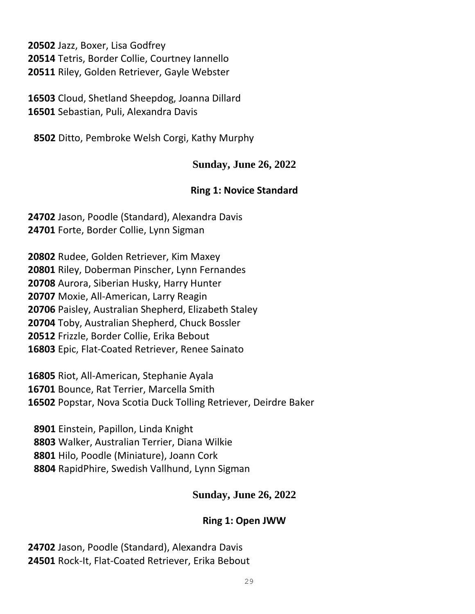Jazz, Boxer, Lisa Godfrey Tetris, Border Collie, Courtney Iannello Riley, Golden Retriever, Gayle Webster

 Cloud, Shetland Sheepdog, Joanna Dillard Sebastian, Puli, Alexandra Davis

Ditto, Pembroke Welsh Corgi, Kathy Murphy

# **Sunday, June 26, 2022**

# **Ring 1: Novice Standard**

 Jason, Poodle (Standard), Alexandra Davis Forte, Border Collie, Lynn Sigman

 Rudee, Golden Retriever, Kim Maxey Riley, Doberman Pinscher, Lynn Fernandes Aurora, Siberian Husky, Harry Hunter Moxie, All-American, Larry Reagin Paisley, Australian Shepherd, Elizabeth Staley Toby, Australian Shepherd, Chuck Bossler Frizzle, Border Collie, Erika Bebout Epic, Flat-Coated Retriever, Renee Sainato

 Riot, All-American, Stephanie Ayala Bounce, Rat Terrier, Marcella Smith Popstar, Nova Scotia Duck Tolling Retriever, Deirdre Baker

 Einstein, Papillon, Linda Knight Walker, Australian Terrier, Diana Wilkie Hilo, Poodle (Miniature), Joann Cork RapidPhire, Swedish Vallhund, Lynn Sigman

# **Sunday, June 26, 2022**

# **Ring 1: Open JWW**

 Jason, Poodle (Standard), Alexandra Davis Rock-It, Flat-Coated Retriever, Erika Bebout